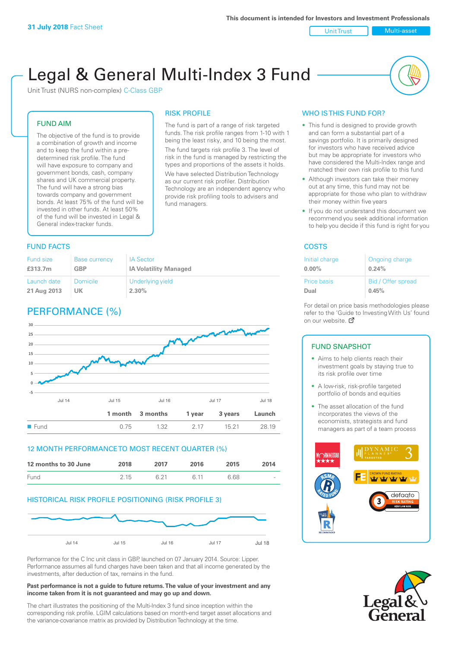Unit Trust Nulti-asset

# Legal & General Multi-Index 3 Fund

RISK PROFILE

fund managers.

The fund is part of a range of risk targeted funds. The risk profile ranges from 1-10 with 1 being the least risky, and 10 being the most. The fund targets risk profile 3. The level of risk in the fund is managed by restricting the types and proportions of the assets it holds. We have selected Distribution Technology as our current risk profiler. Distribution Technology are an independent agency who provide risk profiling tools to advisers and

Unit Trust (NURS non-complex) C-Class GBP

### FUND AIM

The objective of the fund is to provide a combination of growth and income and to keep the fund within a predetermined risk profile. The fund will have exposure to company and government bonds, cash, company shares and UK commercial property. The fund will have a strong bias towards company and government bonds. At least 75% of the fund will be invested in other funds. At least 50% of the fund will be invested in Legal & General index-tracker funds.

### **FUND FACTS** COSTS

| <b>Fund size</b> | <b>Base currency</b> | <b>IA Sector</b>             |
|------------------|----------------------|------------------------------|
| £313.7m          | GBP                  | <b>IA Volatility Managed</b> |
| Launch date      | Domicile             | Underlying yield             |
| 21 Aug 2013      | UK                   | 2.30%                        |

## PERFORMANCE (%)



### 12 MONTH PERFORMANCE TO MOST RECENT QUARTER (%)

| 12 months to 30 June | 2018 | 2017 | 2016 | 2015 | 2014   |
|----------------------|------|------|------|------|--------|
| Fund                 | 215  | 6 21 | G 11 | 6.68 | $\sim$ |

### HISTORICAL RISK PROFILE POSITIONING (RISK PROFILE 3)



Performance for the C Inc unit class in GBP, launched on 07 January 2014. Source: Lipper. Performance assumes all fund charges have been taken and that all income generated by the investments, after deduction of tax, remains in the fund.

#### **Past performance is not a guide to future returns. The value of your investment and any income taken from it is not guaranteed and may go up and down.**

The chart illustrates the positioning of the Multi-Index 3 fund since inception within the corresponding risk profile. LGIM calculations based on month-end target asset allocations and the variance-covariance matrix as provided by Distribution Technology at the time.

### WHO IS THIS FUND FOR?

- This fund is designed to provide growth and can form a substantial part of a savings portfolio. It is primarily designed for investors who have received advice but may be appropriate for investors who have considered the Multi-Index range and matched their own risk profile to this fund
- Although investors can take their money out at any time, this fund may not be appropriate for those who plan to withdraw their money within five years
- If you do not understand this document we recommend you seek additional information to help you decide if this fund is right for you

| Initial charge     | Ongoing charge     |
|--------------------|--------------------|
| $0.00\%$           | 0.24%              |
| <b>Price basis</b> | Bid / Offer spread |
| Dual               | 0.45%              |

For detail on price basis methodologies please refer to the 'Gu[ide t](http://www.legalandgeneral.com/guide)o Investing With Us' found on our website. *P* 

### FUND SNAPSHOT

- Aims to help clients reach their investment goals by staying true to its risk profile over time
- A low-risk, risk-profile targeted portfolio of bonds and equities
- The asset allocation of the fund incorporates the views of the economists, strategists and fund managers as part of a team process



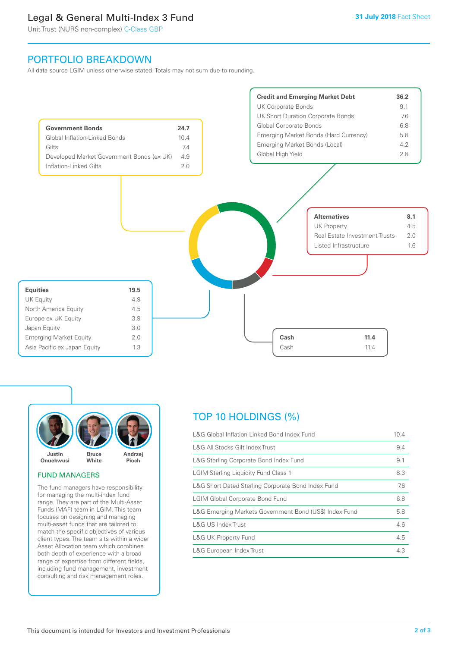### Legal & General Multi-Index 3 Fund

Unit Trust (NURS non-complex) C-Class GBP

### PORTFOLIO BREAKDOWN

All data source LGIM unless otherwise stated. Totals may not sum due to rounding.





#### FUND MANAGERS

The fund managers have responsibility for managing the multi-index fund range. They are part of the Multi-Asset Funds (MAF) team in LGIM. This team focuses on designing and managing multi-asset funds that are tailored to match the specific objectives of various client types. The team sits within a wider Asset Allocation team which combines both depth of experience with a broad range of expertise from different fields, including fund management, investment consulting and risk management roles.

### TOP 10 HOLDINGS (%)

| L&G Global Inflation Linked Bond Index Fund            | 10.4 |
|--------------------------------------------------------|------|
| L&G All Stocks Gilt Index Trust                        | 9.4  |
| L&G Sterling Corporate Bond Index Fund                 | 9.1  |
| <b>LGIM Sterling Liquidity Fund Class 1</b>            | 8.3  |
| L&G Short Dated Sterling Corporate Bond Index Fund     | 7.6  |
| <b>LGIM Global Corporate Bond Fund</b>                 | 6.8  |
| L&G Emerging Markets Government Bond (US\$) Index Fund | 5.8  |
| L&G US Index Trust                                     | 4.6  |
| <b>L&amp;G UK Property Fund</b>                        | 4.5  |
| L&G European Index Trust                               | 4.3  |